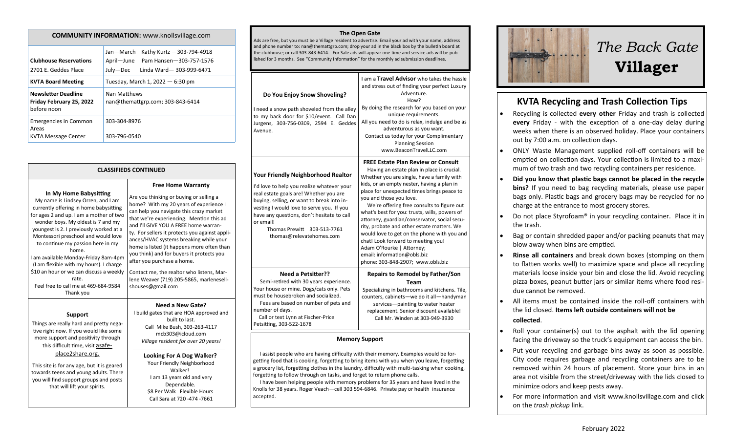| <b>COMMUNITY INFORMATION:</b> www.knollsvillage.com                   |                                                                                                                         |  |
|-----------------------------------------------------------------------|-------------------------------------------------------------------------------------------------------------------------|--|
| <b>Clubhouse Reservations</b><br>2701 E. Geddes Place                 | Jan-March<br>Kathy Kurtz - 303-794-4918<br>April—June<br>Pam Hansen-303-757-1576<br>July-Dec<br>Linda Ward-303-999-6471 |  |
| <b>KVTA Board Meeting</b>                                             | Tuesday, March 1, 2022 - 6:30 pm                                                                                        |  |
| <b>Newsletter Deadline</b><br>Friday February 25, 2022<br>before noon | Nan Matthews<br>nan@themattgrp.com; 303-843-6414                                                                        |  |
| <b>Emergencies in Common</b><br>Areas<br>KVTA Message Center          | 303-304-8976<br>303-796-0540                                                                                            |  |

#### **CLASSIFIEDS CONTINUED**

#### **In My Home Babysitting**

My name is Lindsey Orren, and I am currently offering in home babysitting for ages 2 and up. I am a mother of two wonder boys. My oldest is 7 and my youngest is 2. I previously worked at a Montessori preschool and would love to continue my passion here in my home. I am available Monday-Friday 8am-4pm (I am flexible with my hours). I charge \$10 an hour or we can discuss a weekly rate. Feel free to call me at 469-684-9584 Thank you

#### **Support**

Things are really hard and pretty negative right now. If you would like some more support and positivity through this difficult time, visit asafe-

### place2share.org.

This site is for any age, but it is geared towards teens and young adults. There you will find support groups and posts that will lift your spirits.

Are you thinking or buying or selling a home? With my 20 years of experience I can help you navigate this crazy market that we're experiencing. Mention this ad and I'll GIVE YOU A FREE home warranty. For sellers it protects you against appliances/HVAC systems breaking while your home is listed (it happens more often than you think) and for buyers it protects you after you purchase a home. Contact me, the realtor who listens, Marlene Weaver (719) 205-5865, marlenesellshouses@gmail.com

**Free Home Warranty**

## **Need a New Gate?**

I build gates that are HOA approved and built to last. Call Mike Bush, 303-263-4117 mcb303@icloud.com *Village resident for over 20 years!*

#### **Looking For A Dog Walker?** Your Friendly Neighborhood Walker! I am 13 years old and very Dependable. \$8 Per Walk Flexible Hours Call Sara at 720 -474 -7661

#### **The Open Gate**

Ads are free, but you must be a Village resident to advertise. Email your ad with your name, address and phone number to: nan@themattgrp.com; drop your ad in the black box by the bulletin board at the clubhouse; or call 303-843-6414. For Sale ads will appear one time and service ads will be published for 3 months. See "Community Information" for the monthly ad submission deadlines.

| Do You Enjoy Snow Shoveling?<br>I need a snow path shoveled from the alley<br>to my back door for \$10/event. Call Dan<br>Jurgens, 303-756-0309, 2594 E. Geddes<br>Avenue.                                                                                                                                                                         | I am a Travel Advisor who takes the hassle<br>and stress out of finding your perfect Luxury<br>Adventure.<br>How?<br>By doing the research for you based on your<br>unique requirements.<br>All you need to do is relax, indulge and be as<br>adventurous as you want.<br>Contact us today for your Complimentary<br><b>Planning Session</b><br>www.BeaconTravelLLC.com                                                                                                                                                                                                                                                                         |  |
|----------------------------------------------------------------------------------------------------------------------------------------------------------------------------------------------------------------------------------------------------------------------------------------------------------------------------------------------------|-------------------------------------------------------------------------------------------------------------------------------------------------------------------------------------------------------------------------------------------------------------------------------------------------------------------------------------------------------------------------------------------------------------------------------------------------------------------------------------------------------------------------------------------------------------------------------------------------------------------------------------------------|--|
| <b>Your Friendly Neighborhood Realtor</b><br>I'd love to help you realize whatever your<br>real estate goals are! Whether you are<br>buying, selling, or want to break into in-<br>vesting I would love to serve you. If you<br>have any questions, don't hesitate to call<br>or email!<br>Thomas Prewitt 303-513-7761<br>thomas@relevatehomes.com | <b>FREE Estate Plan Review or Consult</b><br>Having an estate plan in place is crucial.<br>Whether you are single, have a family with<br>kids, or an empty nester, having a plan in<br>place for unexpected times brings peace to<br>you and those you love.<br>We're offering free consults to figure out<br>what's best for you: trusts, wills, powers of<br>attorney, guardian/conservator, social secu-<br>rity, probate and other estate matters. We<br>would love to get on the phone with you and<br>chat! Look forward to meeting you!<br>Adam O'Rourke   Attorney;<br>email: information@obls.biz<br>phone: 303-848-2907; www.obls.biz |  |
| <b>Need a Petsitter??</b><br>Semi-retired with 30 years experience.<br>Your house or mine. Dogs/cats only. Pets<br>must be housebroken and socialized.<br>Fees are based on number of pets and<br>number of days.<br>Call or text Lynn at Fischer-Price<br>Petsitting, 303-522-1678                                                                | <b>Repairs to Remodel by Father/Son</b><br>Team<br>Specializing in bathrooms and kitchens. Tile,<br>counters, cabinets-we do it all-handyman<br>services-painting to water heater<br>replacement. Senior discount available!<br>Call Mr. Winden at 303-949-3930                                                                                                                                                                                                                                                                                                                                                                                 |  |
| <b>Memory Support</b><br>I assist people who are having difficulty with their memory. Examples would be for-<br>getting food that is cooking, forgetting to bring items with you when you leave, forgetting<br>a grocery list, forgetting clothes in the laundry, difficulty with multi-tasking when cooking,                                      |                                                                                                                                                                                                                                                                                                                                                                                                                                                                                                                                                                                                                                                 |  |

 I have been helping people with memory problems for 35 years and have lived in the Knolls for 38 years. Roger Veach—cell 303 594-6846. Private pay or health insurance accepted.

forgetting to follow through on tasks, and forget to return phone calls.



# *The Back Gate*  **Villager**

## **KVTA Recycling and Trash Collection Tips**

- Recycling is collected **every other** Friday and trash is collected **every** Friday - with the exception of a one-day delay during weeks when there is an observed holiday. Place your containers out by 7:00 a.m. on collection days.
- ONLY Waste Management supplied roll-off containers will be emptied on collection days. Your collection is limited to a maximum of two trash and two recycling containers per residence.
- **Did you know that plastic bags cannot be placed in the recycle bins?** If you need to bag recycling materials, please use paper bags only. Plastic bags and grocery bags may be recycled for no charge at the entrance to most grocery stores.
- Do not place Styrofoam® in your recycling container. Place it in the trash.
- Bag or contain shredded paper and/or packing peanuts that may blow away when bins are emptied.
- **Rinse all containers** and break down boxes (stomping on them to flatten works well) to maximize space and place all recycling materials loose inside your bin and close the lid. Avoid recycling pizza boxes, peanut butter jars or similar items where food residue cannot be removed.
- All items must be contained inside the roll-off containers with the lid closed. **Items left outside containers will not be collected**.
- Roll your container(s) out to the asphalt with the lid opening facing the driveway so the truck's equipment can access the bin.
- Put your recycling and garbage bins away as soon as possible. City code requires garbage and recycling containers are to be removed within 24 hours of placement. Store your bins in an area not visible from the street/driveway with the lids closed to minimize odors and keep pests away.
- For more information and visit www.knollsvillage.com and click on the *trash pickup* link.